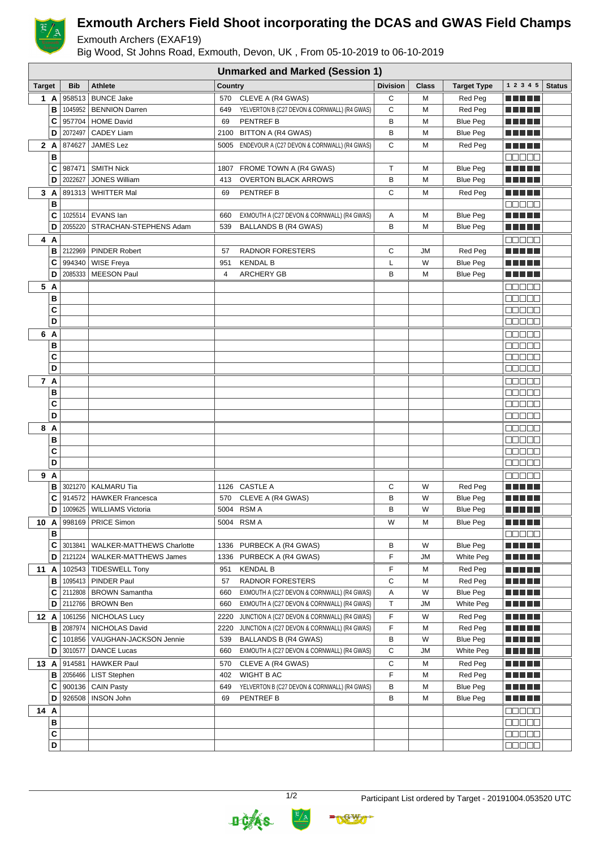

## **Exmouth Archers Field Shoot incorporating the DCAS and GWAS Field Champs**

Exmouth Archers (EXAF19)

Big Wood, St Johns Road, Exmouth, Devon, UK , From 05-10-2019 to 06-10-2019

|               |          | <b>Unmarked and Marked (Session 1)</b> |                                                     |                |                                                                                            |                 |              |                                    |                                               |               |
|---------------|----------|----------------------------------------|-----------------------------------------------------|----------------|--------------------------------------------------------------------------------------------|-----------------|--------------|------------------------------------|-----------------------------------------------|---------------|
| <b>Target</b> |          | <b>Bib</b>                             | <b>Athlete</b>                                      | Country        |                                                                                            | <b>Division</b> | <b>Class</b> | <b>Target Type</b>                 | 1 2 3 4 5                                     | <b>Status</b> |
|               | 1 A      | 958513                                 | <b>BUNCE Jake</b>                                   | 570            | CLEVE A (R4 GWAS)                                                                          | C               | M            | Red Peg                            | n na mats                                     |               |
|               | В        |                                        | 1045952   BENNION Darren                            | 649            | YELVERTON B (C27 DEVON & CORNWALL) (R4 GWAS)                                               | С               | M            | Red Peg                            |                                               |               |
|               | C        | 957704                                 | HOME David                                          | 69             | <b>PENTREF B</b>                                                                           | B               | M            | <b>Blue Peg</b>                    |                                               |               |
|               | D        | 2072497                                | <b>CADEY Liam</b>                                   |                | 2100 BITTON A (R4 GWAS)                                                                    | B               | M            | <b>Blue Peg</b>                    | N E HE H                                      |               |
| 2A            |          | 874627                                 | <b>JAMES Lez</b>                                    |                | 5005 ENDEVOUR A (C27 DEVON & CORNWALL) (R4 GWAS)                                           | С               | M            | Red Peg                            |                                               |               |
|               | B        |                                        |                                                     |                |                                                                                            |                 |              |                                    | <u>e se se</u>                                |               |
|               | C        | 987471                                 | <b>SMITH Nick</b>                                   |                | 1807 FROME TOWN A (R4 GWAS)                                                                | T.              | M            | <b>Blue Peg</b>                    | N N D U                                       |               |
|               | D        | 2022627                                | <b>JONES William</b>                                | 413            | <b>OVERTON BLACK ARROWS</b>                                                                | B               | M            | <b>Blue Peg</b>                    |                                               |               |
|               | 3 A      |                                        | 891313   WHITTER Mal                                | 69             | <b>PENTREF B</b>                                                                           | С               | M            | Red Peg                            | n Ali pe                                      |               |
|               | B        |                                        |                                                     |                |                                                                                            |                 |              |                                    | MUNE L                                        |               |
|               | C        |                                        | 1025514   EVANS Ian                                 | 660            | EXMOUTH A (C27 DEVON & CORNWALL) (R4 GWAS)                                                 | Α               | M            | <b>Blue Peg</b>                    |                                               |               |
|               | D        |                                        | 2055220   STRACHAN-STEPHENS Adam                    | 539            | <b>BALLANDS B (R4 GWAS)</b>                                                                | B               | M            | <b>Blue Peg</b>                    |                                               |               |
|               | 4 A      |                                        |                                                     |                |                                                                                            |                 |              |                                    | Maaaa                                         |               |
|               | в        | 2122969                                | PINDER Robert                                       | 57             | <b>RADNOR FORESTERS</b>                                                                    | С               | JМ           | Red Peg                            |                                               |               |
|               | C        | 994340                                 | <b>WISE Freya</b>                                   | 951            | <b>KENDAL B</b>                                                                            | L               | W            | <b>Blue Peg</b>                    |                                               |               |
|               | D        | 2085333                                | MEESON Paul                                         | $\overline{4}$ | <b>ARCHERY GB</b>                                                                          | B               | M            | <b>Blue Peg</b>                    | <u> Literatur</u>                             |               |
| 5 A           |          |                                        |                                                     |                |                                                                                            |                 |              |                                    | aaaaa                                         |               |
|               | В        |                                        |                                                     |                |                                                                                            |                 |              |                                    | e e e e e                                     |               |
|               | C        |                                        |                                                     |                |                                                                                            |                 |              |                                    | 88888                                         |               |
|               | D        |                                        |                                                     |                |                                                                                            |                 |              |                                    | 88888                                         |               |
|               |          |                                        |                                                     |                |                                                                                            |                 |              |                                    |                                               |               |
|               | 6 A<br>в |                                        |                                                     |                |                                                                                            |                 |              |                                    | e e e e<br>88888                              |               |
|               | C        |                                        |                                                     |                |                                                                                            |                 |              |                                    | 88888                                         |               |
|               | D        |                                        |                                                     |                |                                                                                            |                 |              |                                    | 88888                                         |               |
|               |          |                                        |                                                     |                |                                                                                            |                 |              |                                    |                                               |               |
| 7 A           |          |                                        |                                                     |                |                                                                                            |                 |              |                                    | 80000                                         |               |
|               | В<br>C   |                                        |                                                     |                |                                                                                            |                 |              |                                    | MUN SI U                                      |               |
|               | D        |                                        |                                                     |                |                                                                                            |                 |              |                                    | MUE E E                                       |               |
|               |          |                                        |                                                     |                |                                                                                            |                 |              |                                    | 88888                                         |               |
| 8 A           |          |                                        |                                                     |                |                                                                                            |                 |              |                                    | e e e e e                                     |               |
|               | в        |                                        |                                                     |                |                                                                                            |                 |              |                                    | a a a a a                                     |               |
|               | C<br>D   |                                        |                                                     |                |                                                                                            |                 |              |                                    | <b>REBEE</b><br>eeee                          |               |
|               |          |                                        |                                                     |                |                                                                                            |                 |              |                                    |                                               |               |
| 9 A           |          |                                        |                                                     |                |                                                                                            |                 |              |                                    | <b>00000</b>                                  |               |
|               | в<br>C   | 914572                                 | 3021270   KALMARU Tia<br><b>HAWKER Francesca</b>    |                | 1126 CASTLE A                                                                              | С               | W<br>W       | Red Peg                            | .                                             |               |
|               | D        |                                        | 1009625   WILLIAMS Victoria                         | 570            | CLEVE A (R4 GWAS)<br>5004 RSM A                                                            | в<br>B          | W            | <b>Blue Peg</b><br><b>Blue Peg</b> | .<br><u> El El E</u> le                       |               |
|               |          |                                        |                                                     |                |                                                                                            |                 |              |                                    |                                               |               |
| 10 A          |          |                                        | 998169   PRICE Simon                                |                | 5004 RSM A                                                                                 | W               | Μ            | <b>Blue Peg</b>                    | <b>REBEL</b>                                  |               |
|               | в<br>C   |                                        | 3013841   WALKER-MATTHEWS Charlotte                 |                | 1336 PURBECK A (R4 GWAS)                                                                   | В               | W            | <b>Blue Peg</b>                    | ME E E E<br><u> Literatur</u>                 |               |
|               | D        |                                        | 2121224   WALKER-MATTHEWS James                     |                | 1336 PURBECK A (R4 GWAS)                                                                   | F               | JM           | White Peg                          | <u> Literatura de la </u>                     |               |
|               |          |                                        |                                                     |                |                                                                                            |                 |              |                                    |                                               |               |
| 11 A          |          |                                        | 102543   TIDESWELL Tony                             | 951            | <b>KENDAL B</b>                                                                            | F               | м            | Red Peg                            | <u> Literatura de la </u>                     |               |
|               | в<br>С   |                                        | 1095413   PINDER Paul<br>2112808   BROWN Samantha   | 57             | RADNOR FORESTERS<br>EXMOUTH A (C27 DEVON & CORNWALL) (R4 GWAS)                             | С<br>Α          | M<br>W       | Red Peg<br><b>Blue Peg</b>         | <u> El Berto de la </u><br><u> El El El E</u> |               |
|               | D        |                                        | 2112766   BROWN Ben                                 | 660<br>660     | EXMOUTH A (C27 DEVON & CORNWALL) (R4 GWAS)                                                 | Τ               | JM           | White Peg                          | N E HE H                                      |               |
|               |          |                                        |                                                     |                |                                                                                            |                 |              |                                    |                                               |               |
| 12A           | в        |                                        | 1061256   NICHOLAS Lucy<br>2087974   NICHOLAS David | 2220<br>2220   | JUNCTION A (C27 DEVON & CORNWALL) (R4 GWAS)<br>JUNCTION A (C27 DEVON & CORNWALL) (R4 GWAS) | F<br>F          | W<br>M       | Red Peg<br>Red Peg                 | <u> Literatur</u><br><u> El Berto de la </u>  |               |
|               | C        |                                        | 101856 VAUGHAN-JACKSON Jennie                       | 539            |                                                                                            | В               | W            | <b>Blue Peg</b>                    |                                               |               |
|               | D        | 3010577                                | DANCE Lucas                                         | 660            | BALLANDS B (R4 GWAS)<br>EXMOUTH A (C27 DEVON & CORNWALL) (R4 GWAS)                         | C               | JМ           | White Peg                          | <u> Literatur</u><br><u> Literatur</u>        |               |
|               |          |                                        |                                                     |                |                                                                                            |                 |              |                                    |                                               |               |
| 13A           |          | 914581                                 | <b>HAWKER Paul</b>                                  | 570            | CLEVE A (R4 GWAS)                                                                          | С<br>F          | Μ<br>M       | Red Peg                            | <u> Literatura de la </u>                     |               |
|               | в        |                                        | 2056466   LIST Stephen                              | 402            | WIGHT B AC                                                                                 | В               | M            | Red Peg<br><b>Blue Peg</b>         | <u> Literatur</u>                             |               |
|               | C<br>D   |                                        | 900136   CAIN Pasty<br>926508   INSON John          | 649<br>69      | YELVERTON B (C27 DEVON & CORNWALL) (R4 GWAS)                                               | B               | M            |                                    | <u> Literatur</u>                             |               |
|               |          |                                        |                                                     |                | PENTREF B                                                                                  |                 |              | <b>Blue Peg</b>                    | <u> Literatura de la </u>                     |               |
| 14 A          |          |                                        |                                                     |                |                                                                                            |                 |              |                                    | anaan                                         |               |
|               | в        |                                        |                                                     |                |                                                                                            |                 |              |                                    | 88888                                         |               |
|               | C        |                                        |                                                     |                |                                                                                            |                 |              |                                    | <b>BBBBB</b>                                  |               |
|               | D        |                                        |                                                     |                |                                                                                            |                 |              |                                    | 88888                                         |               |